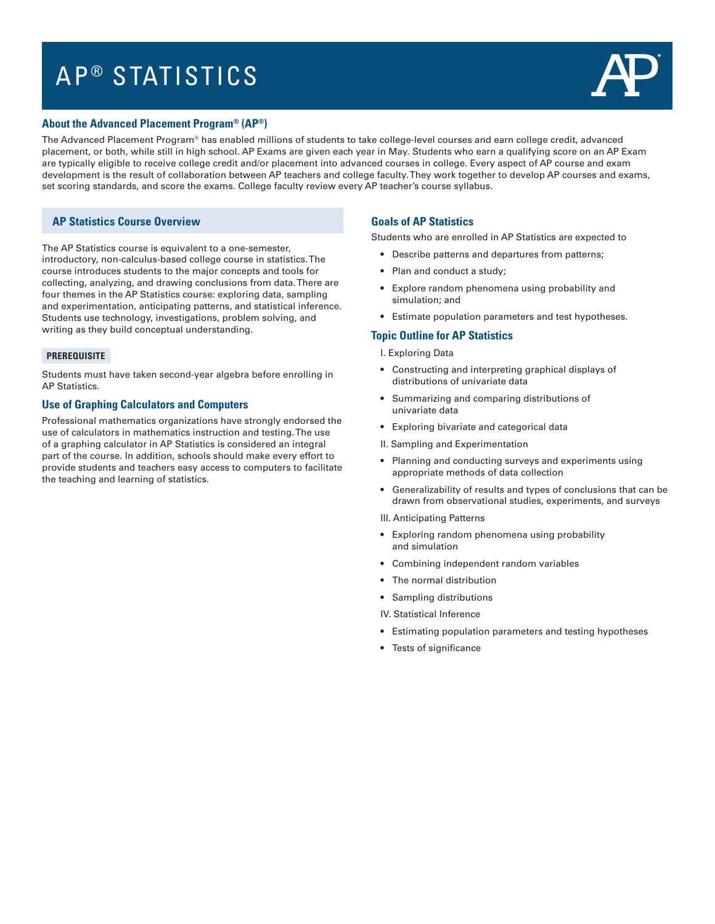# AP<sup>®</sup> STATISTICS



## **About the Advanced Placement Program® (AP®)**

The Advanced Placement Program® has enabled millions of students to take college-level courses and earn college credit, advanced placement, or both, while still in high school. AP Exams are given each year in May. Students who earn a qualifying score on an AP Exam are typically eligible to receive college credit and/or placement into advanced courses in college. Every aspect of AP course and exam development is the result of collaboration between AP teachers and college faculty. They work together to develop AP courses and exams, set scoring standards, and score the exams. College faculty review every AP teacher's course syllabus.

## **AP Statistics Course Overview**

The AP Statistics course is equivalent to a one-semester, introductory, non-calculus-based college course in statistics. The course introduces students to the major concepts and tools for collecting, analyzing, and drawing conclusions from data. There are four themes in the AP Statistics course: exploring data, sampling and experimentation, anticipating patterns, and statistical inference. Students use technology, investigations, problem solving, and writing as they build conceptual understanding.

#### **PREREQUISITE**

Students must have taken second-year algebra before enrolling in AP Statistics.

## **Use of Graphing Calculators and Computers**

Professional mathematics organizations have strongly endorsed the use of calculators in mathematics instruction and testing. The use of a graphing calculator in AP Statistics is considered an integral part of the course. In addition, schools should make every effort to provide students and teachers easy access to computers to facilitate the teaching and learning of statistics.

## **Goals of AP Statistics**

Students who are enrolled in AP Statistics are expected to

- Describe patterns and departures from patterns;
- Plan and conduct a study;
- Explore random phenomena using probability and simulation; and
- Estimate population parameters and test hypotheses.

### **Topic Outline for AP Statistics**

- I. Exploring Data
- Constructing and interpreting graphical displays of distributions of univariate data
- Summarizing and comparing distributions of univariate data
- Exploring bivariate and categorical data
- II. Sampling and Experimentation
- Planning and conducting surveys and experiments using appropriate methods of data collection
- Generalizability of results and types of conclusions that can be drawn from observational studies, experiments, and surveys
- III. Anticipating Patterns
- Exploring random phenomena using probability and simulation
- Combining independent random variables
- The normal distribution
- Sampling distributions
- IV. Statistical Inference
- Estimating population parameters and testing hypotheses
- Tests of significance